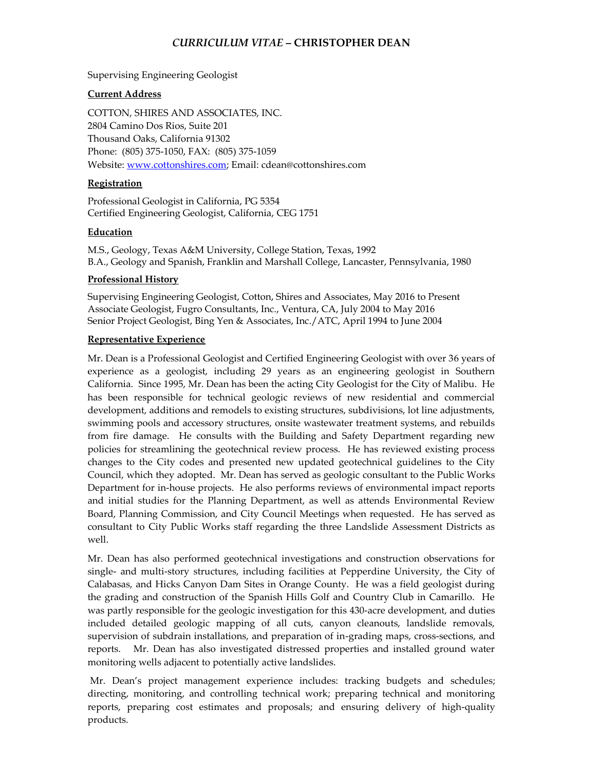# *CURRICULUM VITAE* **– CHRISTOPHER DEAN**

Supervising Engineering Geologist

## **Current Address**

COTTON, SHIRES AND ASSOCIATES, INC. 2804 Camino Dos Rios, Suite 201 Thousand Oaks, California 91302 Phone: (805) 375-1050, FAX: (805) 375-1059 Website: [www.cottonshires.com;](http://www.cottonshires.com/) Email: cdean@cottonshires.com

## **Registration**

Professional Geologist in California, PG 5354 Certified Engineering Geologist, California, CEG 1751

#### **Education**

M.S., Geology, Texas A&M University, College Station, Texas, 1992 B.A., Geology and Spanish, Franklin and Marshall College, Lancaster, Pennsylvania, 1980

#### **Professional History**

Supervising Engineering Geologist, Cotton, Shires and Associates, May 2016 to Present Associate Geologist, Fugro Consultants, Inc., Ventura, CA, July 2004 to May 2016 Senior Project Geologist, Bing Yen & Associates, Inc./ATC, April 1994 to June 2004

#### **Representative Experience**

Mr. Dean is a Professional Geologist and Certified Engineering Geologist with over 36 years of experience as a geologist, including 29 years as an engineering geologist in Southern California. Since 1995, Mr. Dean has been the acting City Geologist for the City of Malibu. He has been responsible for technical geologic reviews of new residential and commercial development, additions and remodels to existing structures, subdivisions, lot line adjustments, swimming pools and accessory structures, onsite wastewater treatment systems, and rebuilds from fire damage. He consults with the Building and Safety Department regarding new policies for streamlining the geotechnical review process. He has reviewed existing process changes to the City codes and presented new updated geotechnical guidelines to the City Council, which they adopted. Mr. Dean has served as geologic consultant to the Public Works Department for in-house projects. He also performs reviews of environmental impact reports and initial studies for the Planning Department, as well as attends Environmental Review Board, Planning Commission, and City Council Meetings when requested. He has served as consultant to City Public Works staff regarding the three Landslide Assessment Districts as well.

Mr. Dean has also performed geotechnical investigations and construction observations for single- and multi-story structures, including facilities at Pepperdine University, the City of Calabasas, and Hicks Canyon Dam Sites in Orange County. He was a field geologist during the grading and construction of the Spanish Hills Golf and Country Club in Camarillo. He was partly responsible for the geologic investigation for this 430-acre development, and duties included detailed geologic mapping of all cuts, canyon cleanouts, landslide removals, supervision of subdrain installations, and preparation of in-grading maps, cross-sections, and reports. Mr. Dean has also investigated distressed properties and installed ground water monitoring wells adjacent to potentially active landslides.

Mr. Dean's project management experience includes: tracking budgets and schedules; directing, monitoring, and controlling technical work; preparing technical and monitoring reports, preparing cost estimates and proposals; and ensuring delivery of high-quality products.